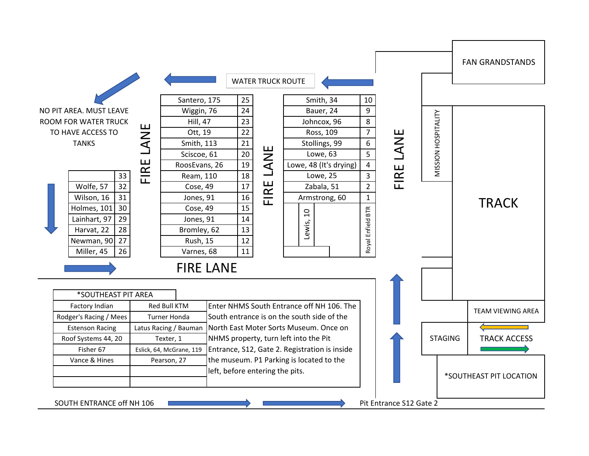